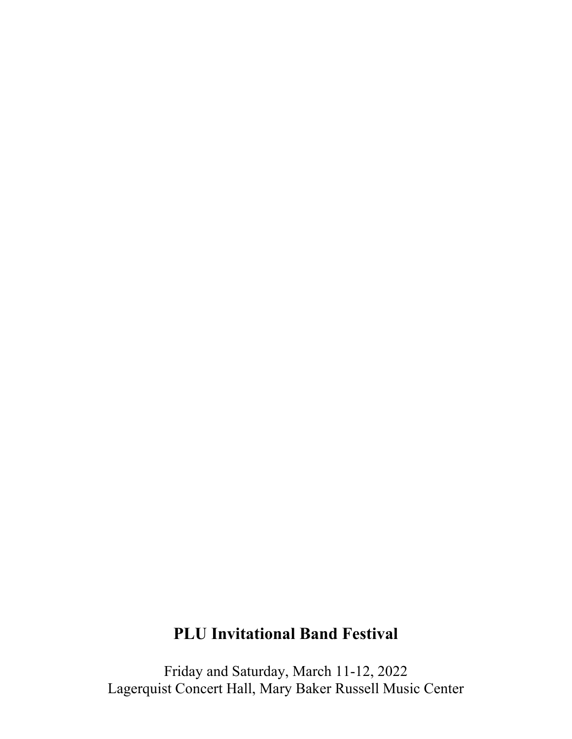# **PLU Invitational Band Festival**

Friday and Saturday, March 11-12, 2022 Lagerquist Concert Hall, Mary Baker Russell Music Center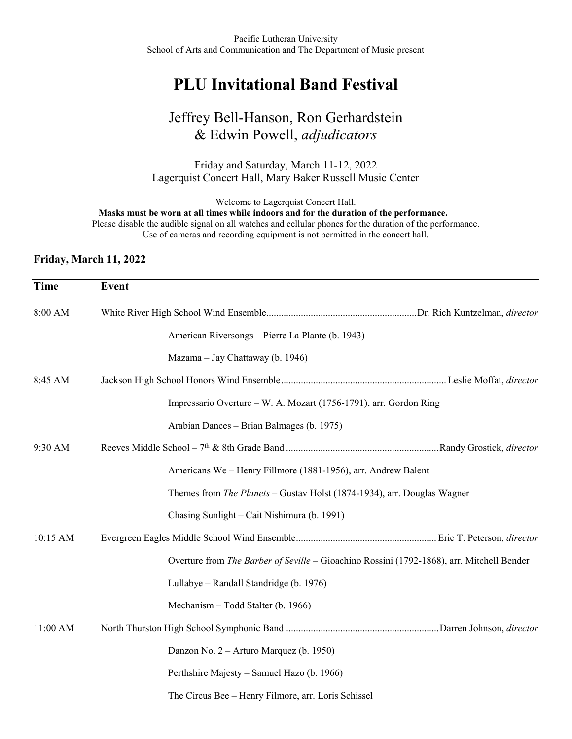## **PLU Invitational Band Festival**

### Jeffrey Bell-Hanson, Ron Gerhardstein & Edwin Powell, *adjudicators*

Friday and Saturday, March 11-12, 2022 Lagerquist Concert Hall, Mary Baker Russell Music Center

Welcome to Lagerquist Concert Hall.

**Masks must be worn at all times while indoors and for the duration of the performance.** Please disable the audible signal on all watches and cellular phones for the duration of the performance.

Use of cameras and recording equipment is not permitted in the concert hall.

#### **Friday, March 11, 2022**

| <b>Time</b> | <b>Event</b>                                                                              |
|-------------|-------------------------------------------------------------------------------------------|
| 8:00 AM     |                                                                                           |
|             | American Riversongs - Pierre La Plante (b. 1943)                                          |
|             | Mazama – Jay Chattaway (b. 1946)                                                          |
| 8:45 AM     |                                                                                           |
|             | Impressario Overture – W. A. Mozart (1756-1791), arr. Gordon Ring                         |
|             | Arabian Dances - Brian Balmages (b. 1975)                                                 |
| 9:30 AM     |                                                                                           |
|             | Americans We - Henry Fillmore (1881-1956), arr. Andrew Balent                             |
|             | Themes from The Planets - Gustav Holst (1874-1934), arr. Douglas Wagner                   |
|             | Chasing Sunlight - Cait Nishimura (b. 1991)                                               |
| 10:15 AM    |                                                                                           |
|             | Overture from The Barber of Seville - Gioachino Rossini (1792-1868), arr. Mitchell Bender |
|             | Lullabye - Randall Standridge (b. 1976)                                                   |
|             | Mechanism - Todd Stalter (b. 1966)                                                        |
| 11:00 AM    |                                                                                           |
|             | Danzon No. 2 – Arturo Marquez (b. 1950)                                                   |
|             | Perthshire Majesty - Samuel Hazo (b. 1966)                                                |
|             | The Circus Bee - Henry Filmore, arr. Loris Schissel                                       |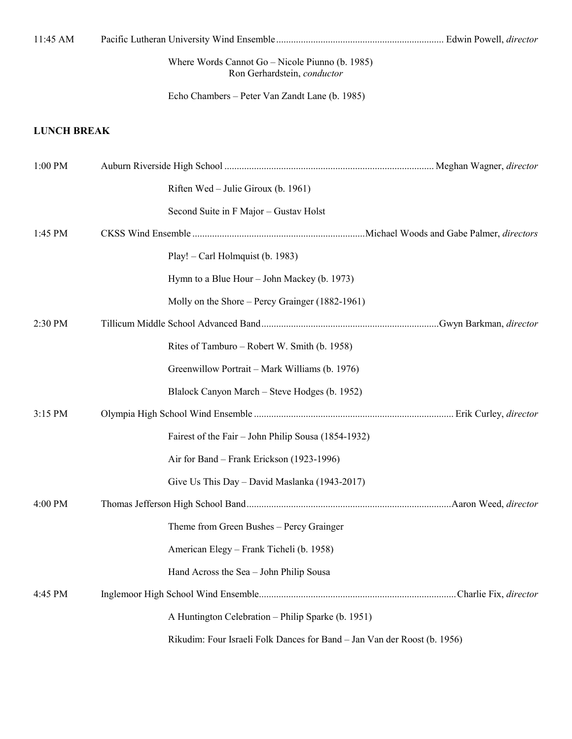| 11:45 AM           |                                                                                |  |
|--------------------|--------------------------------------------------------------------------------|--|
|                    | Where Words Cannot Go - Nicole Piunno (b. 1985)<br>Ron Gerhardstein, conductor |  |
|                    | Echo Chambers – Peter Van Zandt Lane (b. 1985)                                 |  |
| <b>LUNCH BREAK</b> |                                                                                |  |
| 1:00 PM            |                                                                                |  |
|                    | Riften Wed – Julie Giroux (b. 1961)                                            |  |
|                    | Second Suite in F Major - Gustav Holst                                         |  |
| 1:45 PM            |                                                                                |  |
|                    | Play! – Carl Holmquist (b. 1983)                                               |  |
|                    | Hymn to a Blue Hour – John Mackey (b. 1973)                                    |  |
|                    | Molly on the Shore – Percy Grainger (1882-1961)                                |  |
| 2:30 PM            |                                                                                |  |
|                    | Rites of Tamburo – Robert W. Smith (b. 1958)                                   |  |
|                    | Greenwillow Portrait - Mark Williams (b. 1976)                                 |  |
|                    | Blalock Canyon March – Steve Hodges (b. 1952)                                  |  |
| 3:15 PM            |                                                                                |  |
|                    | Fairest of the Fair – John Philip Sousa (1854-1932)                            |  |
|                    | Air for Band – Frank Erickson (1923-1996)                                      |  |
|                    | Give Us This Day – David Maslanka (1943-2017)                                  |  |
| 4:00 PM            |                                                                                |  |
|                    | Theme from Green Bushes – Percy Grainger                                       |  |
|                    | American Elegy - Frank Ticheli (b. 1958)                                       |  |
|                    | Hand Across the Sea - John Philip Sousa                                        |  |
| 4:45 PM            |                                                                                |  |
|                    | A Huntington Celebration - Philip Sparke (b. 1951)                             |  |
|                    | Rikudim: Four Israeli Folk Dances for Band - Jan Van der Roost (b. 1956)       |  |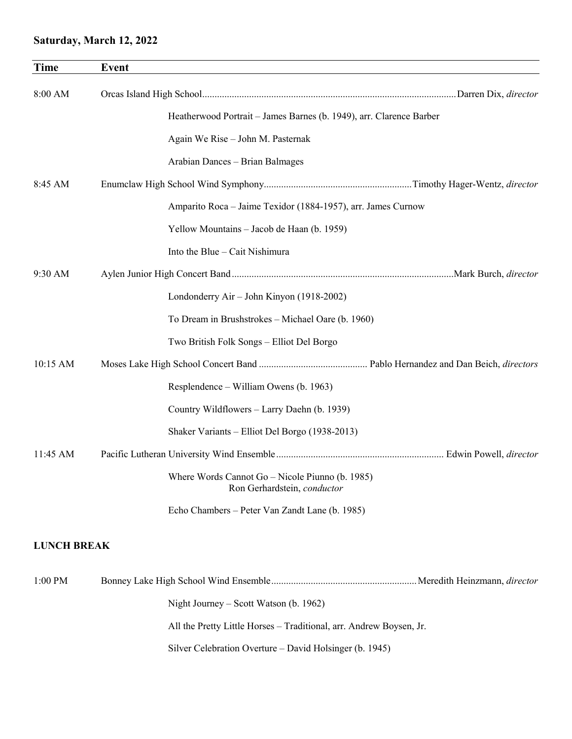#### **Saturday, March 12, 2022**

| <b>Time</b>        | <b>Event</b>                                                                   |
|--------------------|--------------------------------------------------------------------------------|
| 8:00 AM            |                                                                                |
|                    | Heatherwood Portrait - James Barnes (b. 1949), arr. Clarence Barber            |
|                    | Again We Rise - John M. Pasternak                                              |
|                    | Arabian Dances - Brian Balmages                                                |
| 8:45 AM            |                                                                                |
|                    | Amparito Roca - Jaime Texidor (1884-1957), arr. James Curnow                   |
|                    | Yellow Mountains - Jacob de Haan (b. 1959)                                     |
|                    | Into the Blue – Cait Nishimura                                                 |
| 9:30 AM            |                                                                                |
|                    | Londonderry Air - John Kinyon (1918-2002)                                      |
|                    | To Dream in Brushstrokes - Michael Oare (b. 1960)                              |
|                    | Two British Folk Songs - Elliot Del Borgo                                      |
| 10:15 AM           |                                                                                |
|                    | Resplendence – William Owens (b. 1963)                                         |
|                    | Country Wildflowers – Larry Daehn (b. 1939)                                    |
|                    | Shaker Variants - Elliot Del Borgo (1938-2013)                                 |
| 11:45 AM           |                                                                                |
|                    | Where Words Cannot Go - Nicole Piunno (b. 1985)<br>Ron Gerhardstein, conductor |
|                    | Echo Chambers – Peter Van Zandt Lane (b. 1985)                                 |
| <b>LUNCH BREAK</b> |                                                                                |
| 1:00 PM            |                                                                                |
|                    | Night Journey – Scott Watson (b. 1962)                                         |

All the Pretty Little Horses – Traditional, arr. Andrew Boysen, Jr.

Silver Celebration Overture – David Holsinger (b. 1945)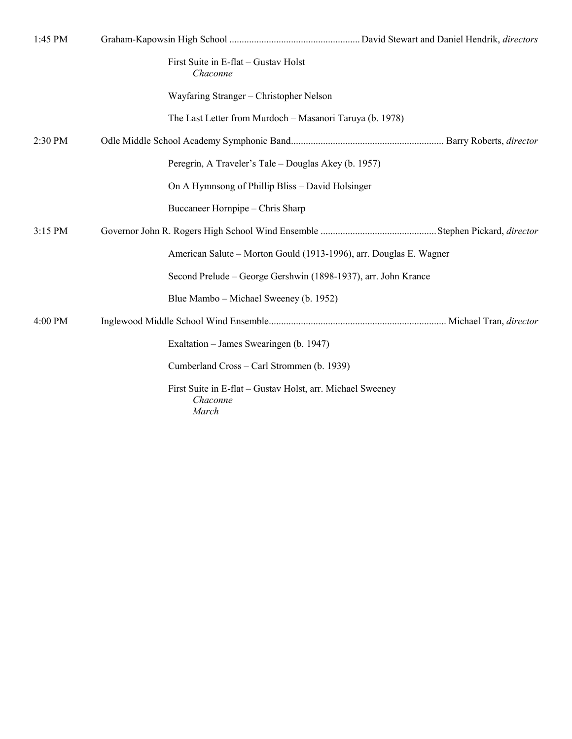| 1:45 PM   |                                                                                 |
|-----------|---------------------------------------------------------------------------------|
|           | First Suite in E-flat - Gustav Holst<br>Chaconne                                |
|           | Wayfaring Stranger – Christopher Nelson                                         |
|           | The Last Letter from Murdoch - Masanori Taruya (b. 1978)                        |
| 2:30 PM   |                                                                                 |
|           | Peregrin, A Traveler's Tale – Douglas Akey (b. 1957)                            |
|           | On A Hymnsong of Phillip Bliss – David Holsinger                                |
|           | Buccaneer Hornpipe - Chris Sharp                                                |
| 3:15 PM   |                                                                                 |
|           | American Salute – Morton Gould (1913-1996), arr. Douglas E. Wagner              |
|           | Second Prelude – George Gershwin (1898-1937), arr. John Krance                  |
|           | Blue Mambo – Michael Sweeney (b. 1952)                                          |
| $4:00$ PM |                                                                                 |
|           | Exaltation – James Swearingen (b. 1947)                                         |
|           | Cumberland Cross – Carl Strommen (b. 1939)                                      |
|           | First Suite in E-flat - Gustav Holst, arr. Michael Sweeney<br>Chaconne<br>March |